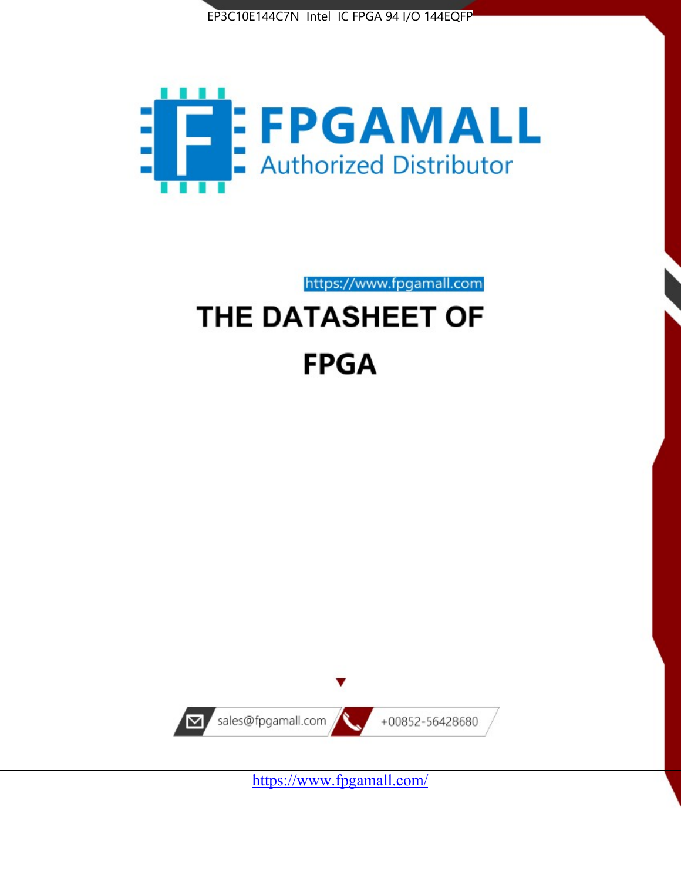



https://www.fpgamall.com

# THE DATASHEET OF **FPGA**



<https://www.fpgamall.com/>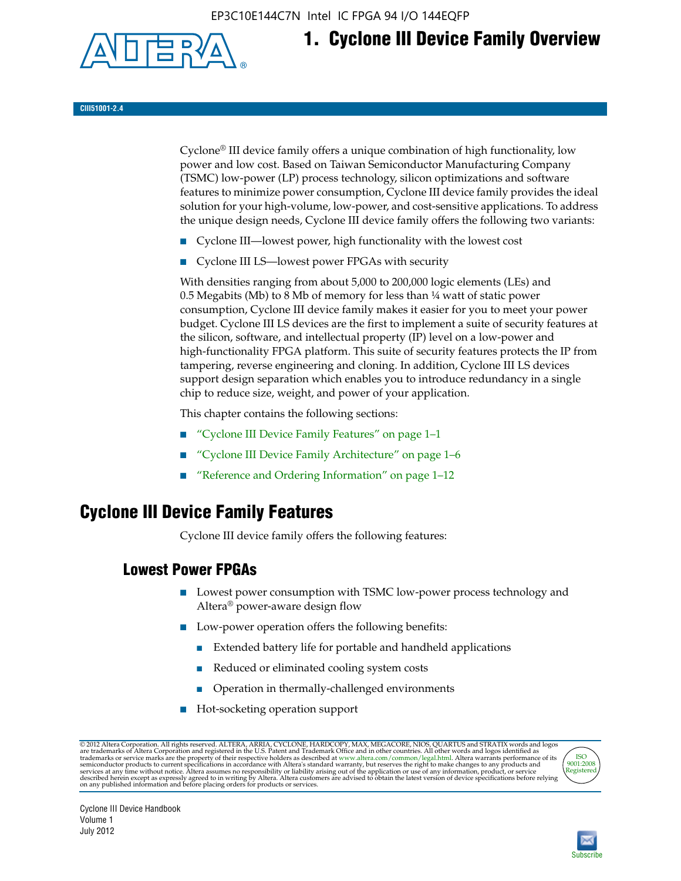EP3C10E144C7N Intel IC FPGA 94 I/O 144EQFP



# **1. Cyclone III Device Family Overview**

**CIII51001-2.4**

Cyclone® III device family offers a unique combination of high functionality, low power and low cost. Based on Taiwan Semiconductor Manufacturing Company (TSMC) low-power (LP) process technology, silicon optimizations and software features to minimize power consumption, Cyclone III device family provides the ideal solution for your high-volume, low-power, and cost-sensitive applications. To address the unique design needs, Cyclone III device family offers the following two variants:

- Cyclone III—lowest power, high functionality with the lowest cost
- Cyclone III LS—lowest power FPGAs with security

With densities ranging from about 5,000 to 200,000 logic elements (LEs) and 0.5 Megabits (Mb) to 8 Mb of memory for less than  $\frac{1}{4}$  watt of static power consumption, Cyclone III device family makes it easier for you to meet your power budget. Cyclone III LS devices are the first to implement a suite of security features at the silicon, software, and intellectual property (IP) level on a low-power and high-functionality FPGA platform. This suite of security features protects the IP from tampering, reverse engineering and cloning. In addition, Cyclone III LS devices support design separation which enables you to introduce redundancy in a single chip to reduce size, weight, and power of your application.

This chapter contains the following sections:

- "Cyclone III Device Family Features" on page 1–1
- "Cyclone III Device Family Architecture" on page 1–6
- "Reference and Ordering Information" on page 1–12

### **Cyclone III Device Family Features**

Cyclone III device family offers the following features:

#### **Lowest Power FPGAs**

- Lowest power consumption with TSMC low-power process technology and Altera® power-aware design flow
- Low-power operation offers the following benefits:
	- Extended battery life for portable and handheld applications
	- Reduced or eliminated cooling system costs
	- Operation in thermally-challenged environments
- Hot-socketing operation support

@ 2012 Altera Corporation. All rights reserved. ALTERA, ARRIA, CYCLONE, HARDCOPY, MAX, MEGACORE, NIOS, QUARTUS and STRATIX words and logos are trademarks of Altera Corporation and registered in the U.S. Patent and Trademar



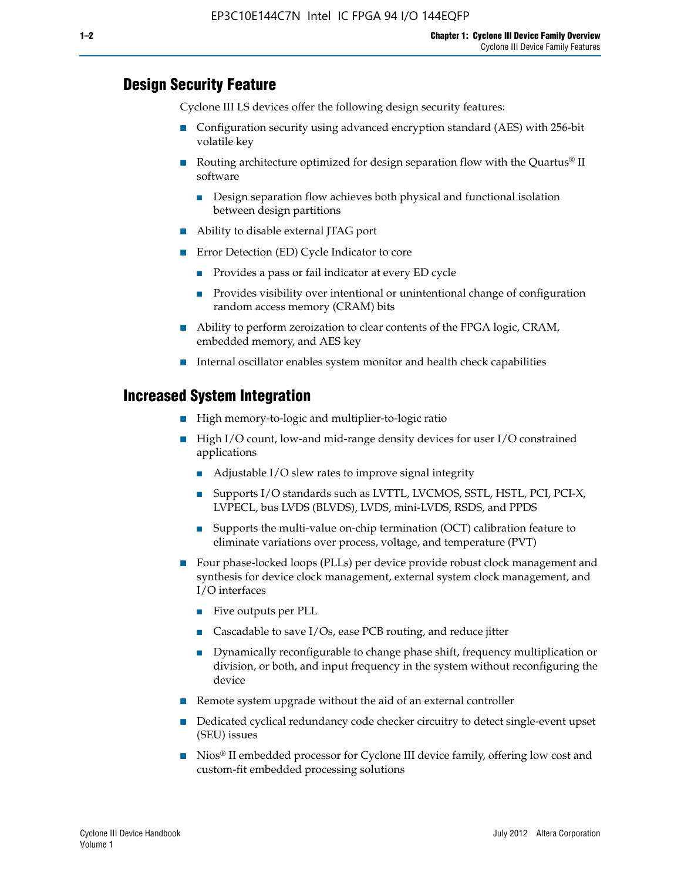#### **Design Security Feature**

Cyclone III LS devices offer the following design security features:

- Configuration security using advanced encryption standard (AES) with 256-bit volatile key
- **■** Routing architecture optimized for design separation flow with the Quartus<sup>®</sup> II software
	- Design separation flow achieves both physical and functional isolation between design partitions
- Ability to disable external JTAG port
- Error Detection (ED) Cycle Indicator to core
	- Provides a pass or fail indicator at every ED cycle
	- Provides visibility over intentional or unintentional change of configuration random access memory (CRAM) bits
- Ability to perform zeroization to clear contents of the FPGA logic, CRAM, embedded memory, and AES key
- Internal oscillator enables system monitor and health check capabilities

#### **Increased System Integration**

- High memory-to-logic and multiplier-to-logic ratio
- High I/O count, low-and mid-range density devices for user I/O constrained applications
	- Adjustable I/O slew rates to improve signal integrity
	- Supports I/O standards such as LVTTL, LVCMOS, SSTL, HSTL, PCI, PCI-X, LVPECL, bus LVDS (BLVDS), LVDS, mini-LVDS, RSDS, and PPDS
	- Supports the multi-value on-chip termination (OCT) calibration feature to eliminate variations over process, voltage, and temperature (PVT)
- Four phase-locked loops (PLLs) per device provide robust clock management and synthesis for device clock management, external system clock management, and I/O interfaces
	- Five outputs per PLL
	- Cascadable to save I/Os, ease PCB routing, and reduce jitter
	- Dynamically reconfigurable to change phase shift, frequency multiplication or division, or both, and input frequency in the system without reconfiguring the device
- Remote system upgrade without the aid of an external controller
- Dedicated cyclical redundancy code checker circuitry to detect single-event upset (SEU) issues
- Nios<sup>®</sup> II embedded processor for Cyclone III device family, offering low cost and custom-fit embedded processing solutions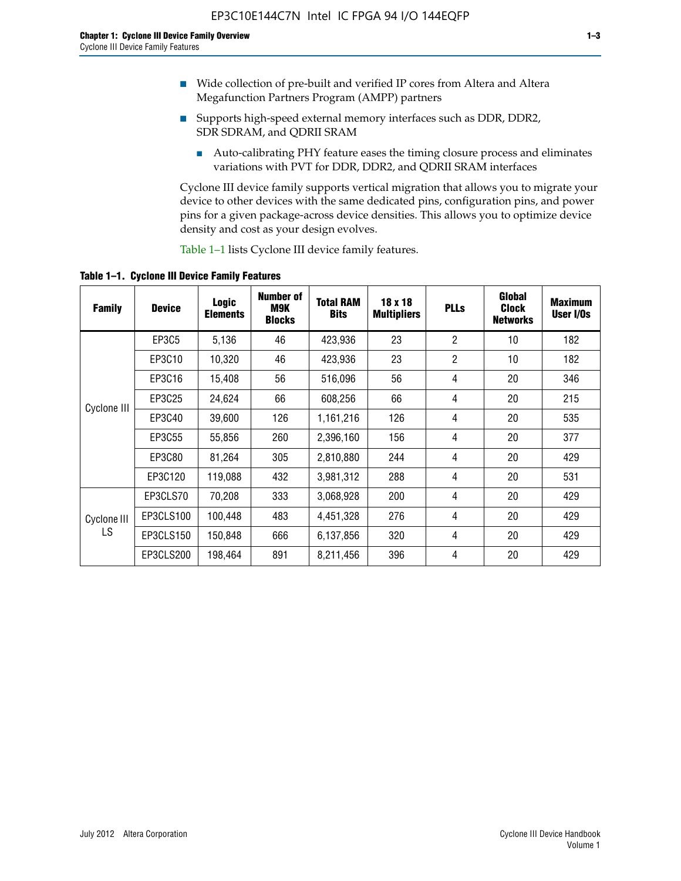- Wide collection of pre-built and verified IP cores from Altera and Altera Megafunction Partners Program (AMPP) partners
- Supports high-speed external memory interfaces such as DDR, DDR2, SDR SDRAM, and QDRII SRAM
	- Auto-calibrating PHY feature eases the timing closure process and eliminates variations with PVT for DDR, DDR2, and QDRII SRAM interfaces

Cyclone III device family supports vertical migration that allows you to migrate your device to other devices with the same dedicated pins, configuration pins, and power pins for a given package-across device densities. This allows you to optimize device density and cost as your design evolves.

Table 1–1 lists Cyclone III device family features.

**Table 1–1. Cyclone III Device Family Features**

| <b>Family</b>     | <b>Device</b> | Logic<br><b>Elements</b> | <b>Number of</b><br>M9K<br><b>Blocks</b> | <b>Total RAM</b><br><b>Bits</b> | 18 x 18<br><b>Multipliers</b> | <b>PLLs</b>    | Global<br><b>Clock</b><br><b>Networks</b> | <b>Maximum</b><br>User I/Os |
|-------------------|---------------|--------------------------|------------------------------------------|---------------------------------|-------------------------------|----------------|-------------------------------------------|-----------------------------|
|                   | EP3C5         | 5,136                    | 46                                       | 423,936                         | 23                            | $\overline{2}$ | 10                                        | 182                         |
|                   | EP3C10        | 10,320                   | 46                                       | 423,936                         | 23                            | $\overline{2}$ | 10                                        | 182                         |
| Cyclone III       | EP3C16        | 15,408                   | 56                                       | 516,096                         | 56                            | 4              | 20                                        | 346                         |
|                   | EP3C25        | 24,624                   | 66                                       | 608,256                         | 66                            | 4              | 20                                        | 215                         |
|                   | EP3C40        | 39,600                   | 126                                      | 1,161,216                       | 126                           | 4              | 20                                        | 535                         |
|                   | EP3C55        | 55,856                   | 260                                      | 2,396,160                       | 156                           | 4              | 20                                        | 377                         |
|                   | EP3C80        | 81,264                   | 305                                      | 2,810,880                       | 244                           | 4              | 20                                        | 429                         |
|                   | EP3C120       | 119,088                  | 432                                      | 3,981,312                       | 288                           | 4              | 20                                        | 531                         |
|                   | EP3CLS70      | 70,208                   | 333                                      | 3,068,928                       | 200                           | 4              | 20                                        | 429                         |
| Cyclone III<br>LS | EP3CLS100     | 100,448                  | 483                                      | 4,451,328                       | 276                           | 4              | 20                                        | 429                         |
|                   | EP3CLS150     | 150,848                  | 666                                      | 6,137,856                       | 320                           | 4              | 20                                        | 429                         |
|                   | EP3CLS200     | 198,464                  | 891                                      | 8,211,456                       | 396                           | 4              | 20                                        | 429                         |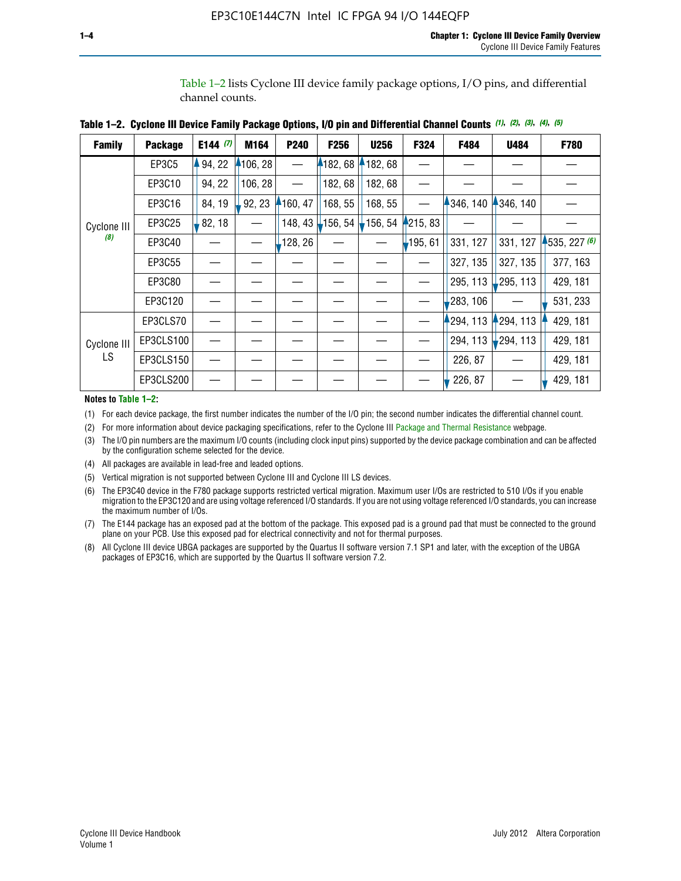Table 1–2 lists Cyclone III device family package options, I/O pins, and differential channel counts.

| <b>Family</b>      | <b>Package</b> | E144 $(7)$ | M164     | P240    | F256       | <b>U256</b>     | F324           | F484     | U484        | F780           |
|--------------------|----------------|------------|----------|---------|------------|-----------------|----------------|----------|-------------|----------------|
|                    | EP3C5          | 94, 22     | 4106, 28 |         |            | 182, 68 182, 68 |                |          |             |                |
|                    | EP3C10         | 94, 22     | 106, 28  |         | 182, 68    | 182, 68         |                |          |             |                |
|                    | EP3C16         | 84, 19     | 92, 23   | 160, 47 | 168, 55    | 168, 55         |                | 346, 140 | 4346, 140   |                |
| Cyclone III        | EP3C25         | 82, 18     |          | 148, 43 | $-156, 54$ | 156, 54         | <b>215, 83</b> |          |             |                |
| (8)                | EP3C40         |            |          | 128, 26 |            |                 | $-195, 61$     | 331, 127 | 331, 127    | $-535, 227(6)$ |
|                    | EP3C55         |            |          |         |            |                 |                | 327, 135 | 327, 135    | 377, 163       |
|                    | EP3C80         |            |          |         |            |                 |                | 295, 113 | 295, 113    | 429, 181       |
|                    | EP3C120        |            |          |         |            |                 |                | 283, 106 |             | 531, 233       |
|                    | EP3CLS70       |            |          |         |            |                 |                | 294, 113 | $-294, 113$ | 429, 181       |
| Cyclone III<br>LS. | EP3CLS100      |            |          |         |            |                 |                | 294, 113 | $-294, 113$ | 429, 181       |
|                    | EP3CLS150      |            |          |         |            |                 |                | 226, 87  |             | 429, 181       |
|                    | EP3CLS200      |            |          |         |            |                 |                | 226, 87  |             | 429, 181       |

**Table 1–2. Cyclone III Device Family Package Options, I/O pin and Differential Channel Counts** *(1)***,** *(2)***,** *(3)***,** *(4)***,** *(5)*

**Notes to Table 1–2:**

(1) For each device package, the first number indicates the number of the I/O pin; the second number indicates the differential channel count.

(2) For more information about device packaging specifications, refer to the Cyclone III [Package and Thermal Resistance](http://www.altera.com/support/devices/packaging/specifications/pkg-pin/dev-package-listing.jsp?device=Cyclone_III) webpage.

(3) The I/O pin numbers are the maximum I/O counts (including clock input pins) supported by the device package combination and can be affected by the configuration scheme selected for the device.

(4) All packages are available in lead-free and leaded options.

(5) Vertical migration is not supported between Cyclone III and Cyclone III LS devices.

(6) The EP3C40 device in the F780 package supports restricted vertical migration. Maximum user I/Os are restricted to 510 I/Os if you enable migration to the EP3C120 and are using voltage referenced I/O standards. If you are not using voltage referenced I/O standards, you can increase the maximum number of I/Os.

(7) The E144 package has an exposed pad at the bottom of the package. This exposed pad is a ground pad that must be connected to the ground plane on your PCB. Use this exposed pad for electrical connectivity and not for thermal purposes.

(8) All Cyclone III device UBGA packages are supported by the Quartus II software version 7.1 SP1 and later, with the exception of the UBGA packages of EP3C16, which are supported by the Quartus II software version 7.2.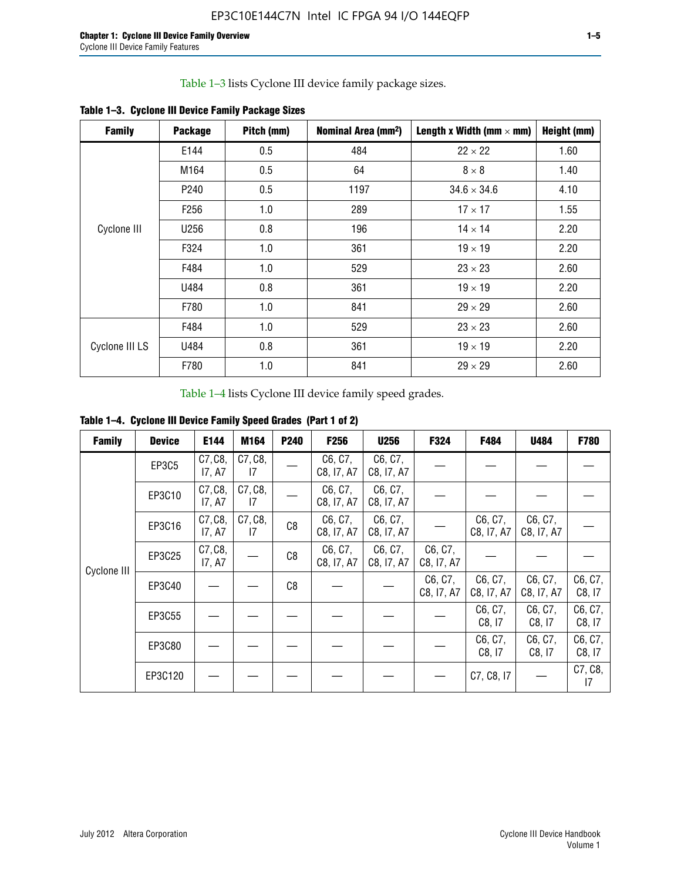Table 1–3 lists Cyclone III device family package sizes.

| <b>Family</b>  | <b>Package</b>   | Pitch (mm) | Nominal Area (mm <sup>2</sup> ) | Length x Width (mm $\times$ mm) | Height (mm) |
|----------------|------------------|------------|---------------------------------|---------------------------------|-------------|
|                | E144             | 0.5        | 484                             | $22 \times 22$                  | 1.60        |
|                | M164             | 0.5        | 64                              | $8 \times 8$                    | 1.40        |
|                | P <sub>240</sub> | 0.5        | 1197                            | $34.6 \times 34.6$              | 4.10        |
| Cyclone III    | F <sub>256</sub> | 1.0        | 289                             | $17 \times 17$                  | 1.55        |
|                | U256             | 0.8        | 196                             | $14 \times 14$                  | 2.20        |
|                | F324             | 1.0        | 361                             | $19 \times 19$                  | 2.20        |
|                | F484             | 1.0        | 529                             | $23 \times 23$                  | 2.60        |
|                | U484             | 0.8        | 361                             | $19 \times 19$                  | 2.20        |
|                | F780             | 1.0        | 841                             | $29 \times 29$                  | 2.60        |
| Cyclone III LS | F484             | 1.0        | 529                             | $23 \times 23$                  | 2.60        |
|                | U484             | 0.8        | 361                             | $19 \times 19$                  | 2.20        |
|                | F780             | 1.0        | 841                             | $29 \times 29$                  | 2.60        |

**Table 1–3. Cyclone III Device Family Package Sizes**

Table 1–4 lists Cyclone III device family speed grades.

**Table 1–4. Cyclone III Device Family Speed Grades (Part 1 of 2)**

| <b>Family</b> | <b>Device</b> | E144              | M164          | <b>P240</b>    | <b>F256</b>           | <b>U256</b>           | F324                  | F484                  | U484                  | <b>F780</b>       |
|---------------|---------------|-------------------|---------------|----------------|-----------------------|-----------------------|-----------------------|-----------------------|-----------------------|-------------------|
|               | EP3C5         | C7, C8,<br>17, A7 | C7, C8,<br>17 |                | C6, C7,<br>C8, I7, A7 | C6, C7,<br>C8, I7, A7 |                       |                       |                       |                   |
|               | EP3C10        | C7, C8,<br>17, A7 | C7, C8,<br>17 |                | C6, C7,<br>C8, I7, A7 | C6, C7,<br>C8, I7, A7 |                       |                       |                       |                   |
|               | EP3C16        | C7, C8,<br>17, A7 | C7, C8,<br>17 | C <sub>8</sub> | C6, C7,<br>C8, I7, A7 | C6, C7,<br>C8, I7, A7 |                       | C6, C7,<br>C8, I7, A7 | C6, C7,<br>C8, I7, A7 |                   |
| Cyclone III   | EP3C25        | C7, C8,<br>17, A7 |               | C8             | C6, C7,<br>C8, I7, A7 | C6, C7,<br>C8, I7, A7 | C6, C7,<br>C8, I7, A7 |                       |                       |                   |
|               | EP3C40        |                   |               | C8             |                       |                       | C6, C7,<br>C8, I7, A7 | C6, C7,<br>C8, I7, A7 | C6, C7,<br>C8, I7, A7 | C6, C7,<br>C8, 17 |
|               | EP3C55        |                   |               |                |                       |                       |                       | C6, C7,<br>C8, I7     | C6, C7,<br>C8, 17     | C6, C7,<br>C8, 17 |
|               | EP3C80        |                   |               |                |                       |                       |                       | C6, C7,<br>C8, 17     | C6, C7,<br>C8, 17     | C6, C7,<br>C8, 17 |
|               | EP3C120       |                   |               |                |                       |                       |                       | C7, C8, I7            |                       | C7, C8,<br>17     |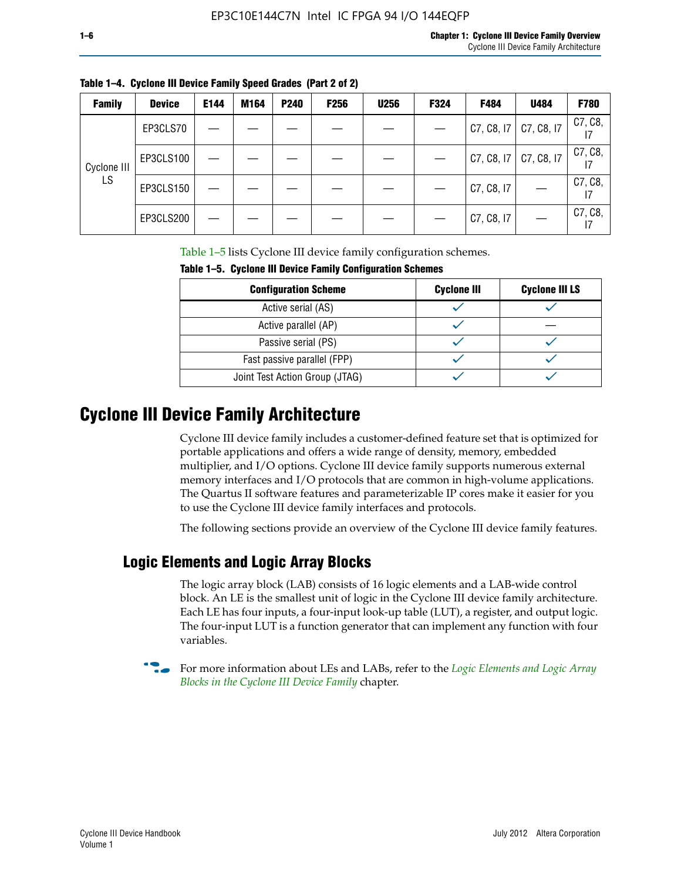| <b>Family</b> | <b>Device</b> | E144 | M164 | P240 | <b>F256</b> | <b>U256</b> | F324 | F484       | U484       | <b>F780</b> |
|---------------|---------------|------|------|------|-------------|-------------|------|------------|------------|-------------|
|               | EP3CLS70      |      |      |      |             |             |      | C7, C8, I7 | C7, C8, I7 | C7, C8,     |
| Cyclone III   | EP3CLS100     |      |      |      |             |             |      | C7, C8, I7 | C7, C8, I7 | C7, C8,     |
| LS.           | EP3CLS150     |      |      |      |             |             |      | C7, C8, I7 |            | C7, C8,     |
|               | EP3CLS200     |      |      |      |             |             |      | C7, C8, I7 |            | C7, C8,     |

Table 1–5 lists Cyclone III device family configuration schemes.

| Taple 1–5. Gyclone III Device Family Configuration Schemes |                    |                       |  |  |
|------------------------------------------------------------|--------------------|-----------------------|--|--|
| <b>Configuration Scheme</b>                                | <b>Cyclone III</b> | <b>Cyclone III LS</b> |  |  |
| Active serial (AS)                                         |                    |                       |  |  |
| Active parallel (AP)                                       |                    |                       |  |  |
| Passive serial (PS)                                        |                    |                       |  |  |
| Fast passive parallel (FPP)                                |                    |                       |  |  |
| Joint Test Action Group (JTAG)                             |                    |                       |  |  |

**Table 1–5. Cyclone III Device Family Configuration Schemes**

## **Cyclone III Device Family Architecture**

Cyclone III device family includes a customer-defined feature set that is optimized for portable applications and offers a wide range of density, memory, embedded multiplier, and I/O options. Cyclone III device family supports numerous external memory interfaces and I/O protocols that are common in high-volume applications. The Quartus II software features and parameterizable IP cores make it easier for you to use the Cyclone III device family interfaces and protocols.

The following sections provide an overview of the Cyclone III device family features.

#### **Logic Elements and Logic Array Blocks**

The logic array block (LAB) consists of 16 logic elements and a LAB-wide control block. An LE is the smallest unit of logic in the Cyclone III device family architecture. Each LE has four inputs, a four-input look-up table (LUT), a register, and output logic. The four-input LUT is a function generator that can implement any function with four variables.

f For more information about LEs and LABs, refer to the *[Logic Elements and Logic Array](http://www.altera.com/literature/hb/cyc3/cyc3_ciii51002.pdf)  [Blocks in the Cyclone III Device Family](http://www.altera.com/literature/hb/cyc3/cyc3_ciii51002.pdf)* chapter.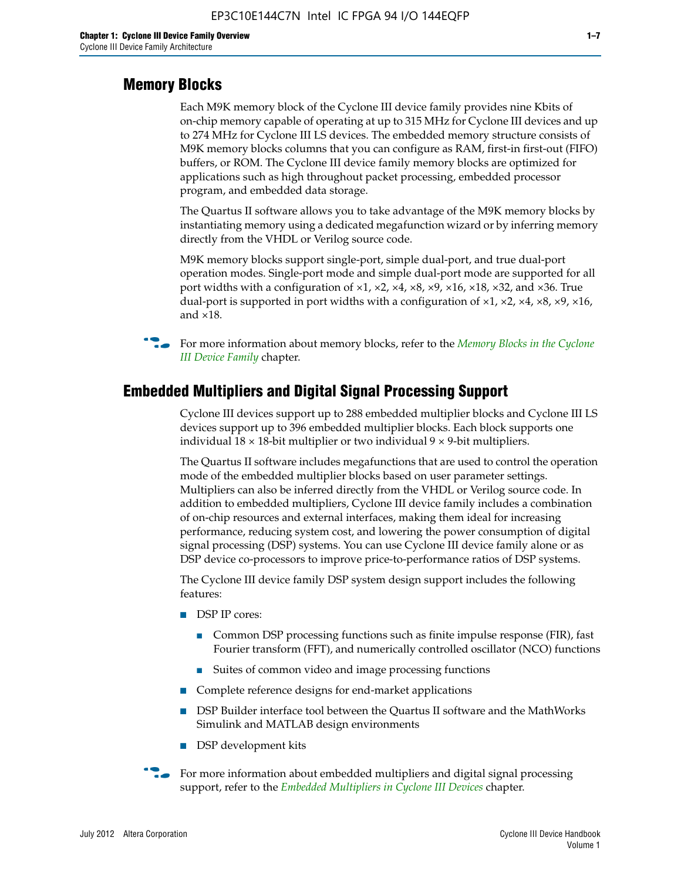#### **Memory Blocks**

Each M9K memory block of the Cyclone III device family provides nine Kbits of on-chip memory capable of operating at up to 315 MHz for Cyclone III devices and up to 274 MHz for Cyclone III LS devices. The embedded memory structure consists of M9K memory blocks columns that you can configure as RAM, first-in first-out (FIFO) buffers, or ROM. The Cyclone III device family memory blocks are optimized for applications such as high throughout packet processing, embedded processor program, and embedded data storage.

The Quartus II software allows you to take advantage of the M9K memory blocks by instantiating memory using a dedicated megafunction wizard or by inferring memory directly from the VHDL or Verilog source code.

M9K memory blocks support single-port, simple dual-port, and true dual-port operation modes. Single-port mode and simple dual-port mode are supported for all port widths with a configuration of  $\times1$ ,  $\times2$ ,  $\times4$ ,  $\times8$ ,  $\times9$ ,  $\times16$ ,  $\times18$ ,  $\times32$ , and  $\times36$ . True dual-port is supported in port widths with a configuration of  $\times$ 1,  $\times$ 2,  $\times$ 4,  $\times$ 8,  $\times$ 9,  $\times$ 16, and ×18.



**For more information about memory blocks, refer to the** *Memory Blocks in the Cyclone [III Device Family](http://www.altera.com/literature/hb/cyc3/cyc3_ciii51004.pdf)* chapter.

#### **Embedded Multipliers and Digital Signal Processing Support**

Cyclone III devices support up to 288 embedded multiplier blocks and Cyclone III LS devices support up to 396 embedded multiplier blocks. Each block supports one individual  $18 \times 18$ -bit multiplier or two individual  $9 \times 9$ -bit multipliers.

The Quartus II software includes megafunctions that are used to control the operation mode of the embedded multiplier blocks based on user parameter settings. Multipliers can also be inferred directly from the VHDL or Verilog source code. In addition to embedded multipliers, Cyclone III device family includes a combination of on-chip resources and external interfaces, making them ideal for increasing performance, reducing system cost, and lowering the power consumption of digital signal processing (DSP) systems. You can use Cyclone III device family alone or as DSP device co-processors to improve price-to-performance ratios of DSP systems.

The Cyclone III device family DSP system design support includes the following features:

- DSP IP cores:
	- Common DSP processing functions such as finite impulse response (FIR), fast Fourier transform (FFT), and numerically controlled oscillator (NCO) functions
	- Suites of common video and image processing functions
- Complete reference designs for end-market applications
- DSP Builder interface tool between the Quartus II software and the MathWorks Simulink and MATLAB design environments
- DSP development kits
- For more information about embedded multipliers and digital signal processing support, refer to the *[Embedded Multipliers in Cyclone III Devices](http://www.altera.com/literature/hb/cyc3/cyc3_ciii51005.pdf)* chapter.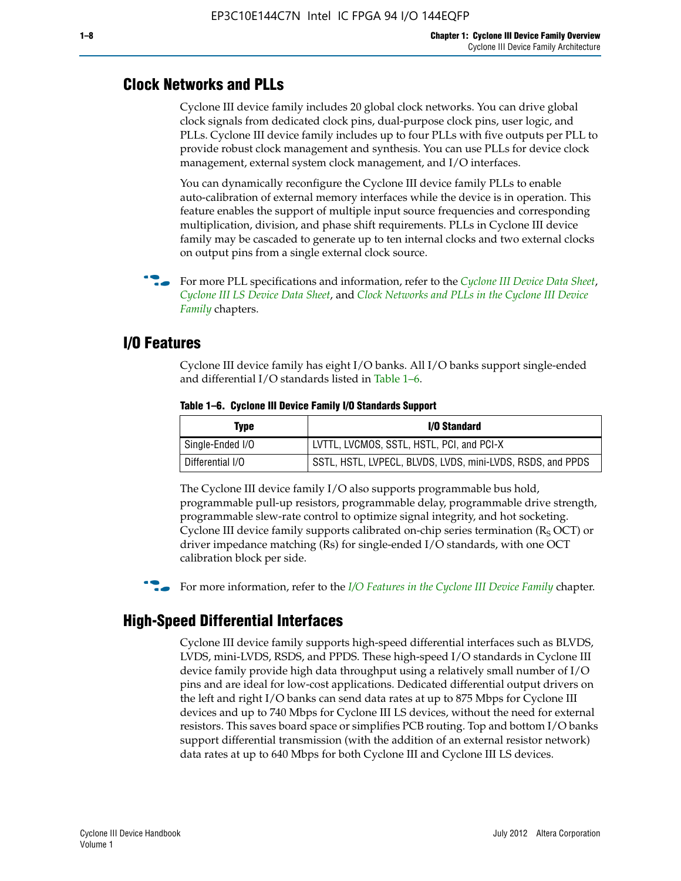#### **Clock Networks and PLLs**

Cyclone III device family includes 20 global clock networks. You can drive global clock signals from dedicated clock pins, dual-purpose clock pins, user logic, and PLLs. Cyclone III device family includes up to four PLLs with five outputs per PLL to provide robust clock management and synthesis. You can use PLLs for device clock management, external system clock management, and I/O interfaces.

You can dynamically reconfigure the Cyclone III device family PLLs to enable auto-calibration of external memory interfaces while the device is in operation. This feature enables the support of multiple input source frequencies and corresponding multiplication, division, and phase shift requirements. PLLs in Cyclone III device family may be cascaded to generate up to ten internal clocks and two external clocks on output pins from a single external clock source.

**For more PLL specifications and information, refer to the** *[Cyclone III Device Data Sheet](http://www.altera.com/literature/hb/cyc3/cyc3_ciii52001.pdf)***,** *[Cyclone III LS Device Data Sheet](http://www.altera.com/literature/hb/cyc3/cyc3_ciii52002.pdf)*, and *[Clock Networks and PLLs in the Cyclone III Device](http://www.altera.com/literature/hb/cyc3/cyc3_ciii51006.pdf)  [Family](http://www.altera.com/literature/hb/cyc3/cyc3_ciii51006.pdf)* chapters.

#### **I/O Features**

Cyclone III device family has eight I/O banks. All I/O banks support single-ended and differential I/O standards listed in Table 1–6.

| Type             | <b>I/O Standard</b>                                        |
|------------------|------------------------------------------------------------|
| Single-Ended I/O | LVTTL, LVCMOS, SSTL, HSTL, PCI, and PCI-X                  |
| Differential I/O | SSTL, HSTL, LVPECL, BLVDS, LVDS, mini-LVDS, RSDS, and PPDS |

**Table 1–6. Cyclone III Device Family I/O Standards Support** 

The Cyclone III device family I/O also supports programmable bus hold, programmable pull-up resistors, programmable delay, programmable drive strength, programmable slew-rate control to optimize signal integrity, and hot socketing. Cyclone III device family supports calibrated on-chip series termination ( $R_S$  OCT) or driver impedance matching (Rs) for single-ended I/O standards, with one OCT calibration block per side.

For more information, refer to the *[I/O Features in the Cyclone III Device Family](http://www.altera.com/literature/hb/cyc3/cyc3_ciii51007.pdf)* chapter.

#### **High-Speed Differential Interfaces**

Cyclone III device family supports high-speed differential interfaces such as BLVDS, LVDS, mini-LVDS, RSDS, and PPDS. These high-speed I/O standards in Cyclone III device family provide high data throughput using a relatively small number of I/O pins and are ideal for low-cost applications. Dedicated differential output drivers on the left and right I/O banks can send data rates at up to 875 Mbps for Cyclone III devices and up to 740 Mbps for Cyclone III LS devices, without the need for external resistors. This saves board space or simplifies PCB routing. Top and bottom I/O banks support differential transmission (with the addition of an external resistor network) data rates at up to 640 Mbps for both Cyclone III and Cyclone III LS devices.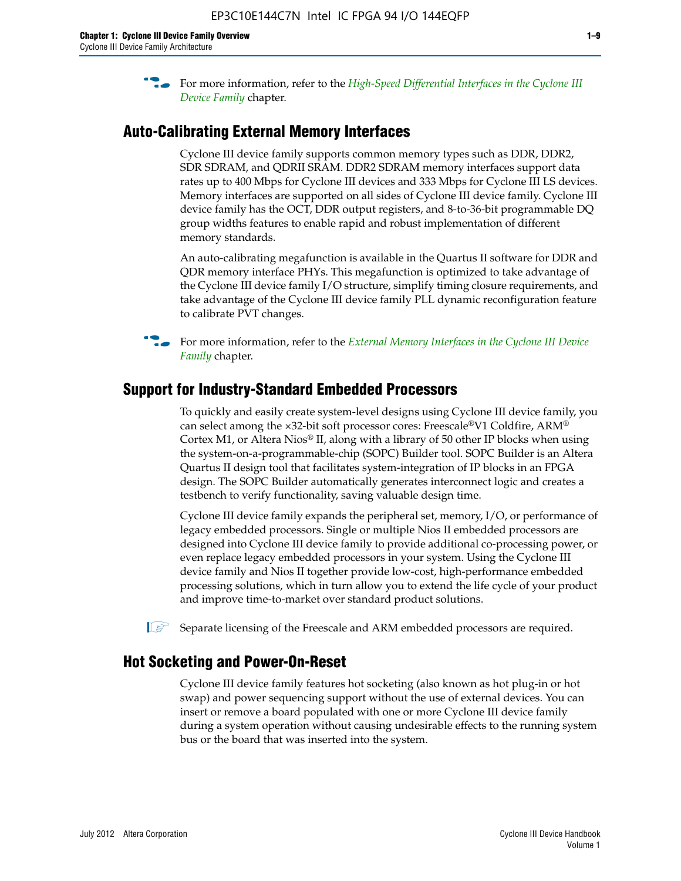**For more information, refer to the** *High-Speed Differential Interfaces in the Cyclone III* $\overline{a}$ *[Device Family](http://www.altera.com/literature/hb/cyc3/cyc3_ciii51008.pdf)* chapter.

#### **Auto-Calibrating External Memory Interfaces**

Cyclone III device family supports common memory types such as DDR, DDR2, SDR SDRAM, and QDRII SRAM. DDR2 SDRAM memory interfaces support data rates up to 400 Mbps for Cyclone III devices and 333 Mbps for Cyclone III LS devices. Memory interfaces are supported on all sides of Cyclone III device family. Cyclone III device family has the OCT, DDR output registers, and 8-to-36-bit programmable DQ group widths features to enable rapid and robust implementation of different memory standards.

An auto-calibrating megafunction is available in the Quartus II software for DDR and QDR memory interface PHYs. This megafunction is optimized to take advantage of the Cyclone III device family I/O structure, simplify timing closure requirements, and take advantage of the Cyclone III device family PLL dynamic reconfiguration feature to calibrate PVT changes.

**For more information, refer to the** *External Memory Interfaces in the Cyclone III Device [Family](http://www.altera.com/literature/hb/cyc3/cyc3_ciii51009.pdf)* chapter.

#### **Support for Industry-Standard Embedded Processors**

To quickly and easily create system-level designs using Cyclone III device family, you can select among the ×32-bit soft processor cores: Freescale®V1 Coldfire, ARM® Cortex M1, or Altera Nios® II, along with a library of 50 other IP blocks when using the system-on-a-programmable-chip (SOPC) Builder tool. SOPC Builder is an Altera Quartus II design tool that facilitates system-integration of IP blocks in an FPGA design. The SOPC Builder automatically generates interconnect logic and creates a testbench to verify functionality, saving valuable design time.

Cyclone III device family expands the peripheral set, memory, I/O, or performance of legacy embedded processors. Single or multiple Nios II embedded processors are designed into Cyclone III device family to provide additional co-processing power, or even replace legacy embedded processors in your system. Using the Cyclone III device family and Nios II together provide low-cost, high-performance embedded processing solutions, which in turn allow you to extend the life cycle of your product and improve time-to-market over standard product solutions.

 $\mathbb{I}$  Separate licensing of the Freescale and ARM embedded processors are required.

#### **Hot Socketing and Power-On-Reset**

Cyclone III device family features hot socketing (also known as hot plug-in or hot swap) and power sequencing support without the use of external devices. You can insert or remove a board populated with one or more Cyclone III device family during a system operation without causing undesirable effects to the running system bus or the board that was inserted into the system.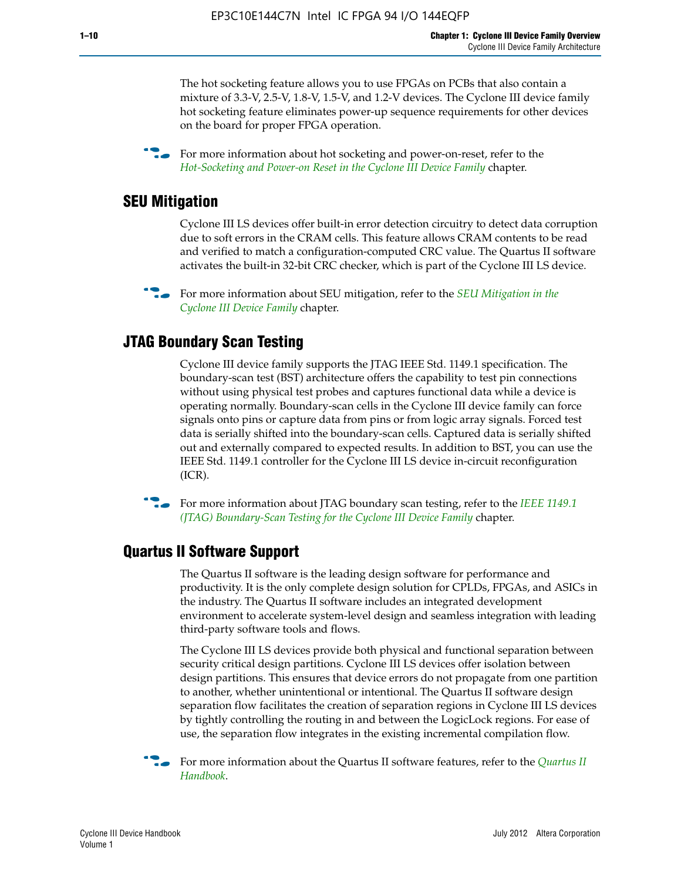The hot socketing feature allows you to use FPGAs on PCBs that also contain a mixture of 3.3-V, 2.5-V, 1.8-V, 1.5-V, and 1.2-V devices. The Cyclone III device family hot socketing feature eliminates power-up sequence requirements for other devices on the board for proper FPGA operation.

For more information about hot socketing and power-on-reset, refer to the *[Hot-Socketing and Power-on Reset in the Cyclone III Device Family](http://www.altera.com/literature/hb/cyc3/cyc3_ciii51011.pdf)* chapter.

#### **SEU Mitigation**

Cyclone III LS devices offer built-in error detection circuitry to detect data corruption due to soft errors in the CRAM cells. This feature allows CRAM contents to be read and verified to match a configuration-computed CRC value. The Quartus II software activates the built-in 32-bit CRC checker, which is part of the Cyclone III LS device.

**For more information about SEU mitigation, refer to the** *SEU Mitigation in the [Cyclone III Device Family](http://www.altera.com/literature/hb/cyc3/cyc3_ciii51013.pdf)* chapter.

#### **JTAG Boundary Scan Testing**

Cyclone III device family supports the JTAG IEEE Std. 1149.1 specification. The boundary-scan test (BST) architecture offers the capability to test pin connections without using physical test probes and captures functional data while a device is operating normally. Boundary-scan cells in the Cyclone III device family can force signals onto pins or capture data from pins or from logic array signals. Forced test data is serially shifted into the boundary-scan cells. Captured data is serially shifted out and externally compared to expected results. In addition to BST, you can use the IEEE Std. 1149.1 controller for the Cyclone III LS device in-circuit reconfiguration (ICR).

**f f**or more information about JTAG boundary scan testing, refer to the *IEEE* 1149.1 *[\(JTAG\) Boundary-Scan Testing for the Cyclone III Device Family](http://www.altera.com/literature/hb/cyc3/cyc3_ciii51014.pdf)* chapter.

#### **Quartus II Software Support**

The Quartus II software is the leading design software for performance and productivity. It is the only complete design solution for CPLDs, FPGAs, and ASICs in the industry. The Quartus II software includes an integrated development environment to accelerate system-level design and seamless integration with leading third-party software tools and flows.

The Cyclone III LS devices provide both physical and functional separation between security critical design partitions. Cyclone III LS devices offer isolation between design partitions. This ensures that device errors do not propagate from one partition to another, whether unintentional or intentional. The Quartus II software design separation flow facilitates the creation of separation regions in Cyclone III LS devices by tightly controlling the routing in and between the LogicLock regions. For ease of use, the separation flow integrates in the existing incremental compilation flow.

f For more information about the Quartus II software features, refer to the *[Quartus II](http://www.altera.com/literature/hb/qts/quartusii_handbook.pdf)  [Handbook](http://www.altera.com/literature/hb/qts/quartusii_handbook.pdf)*.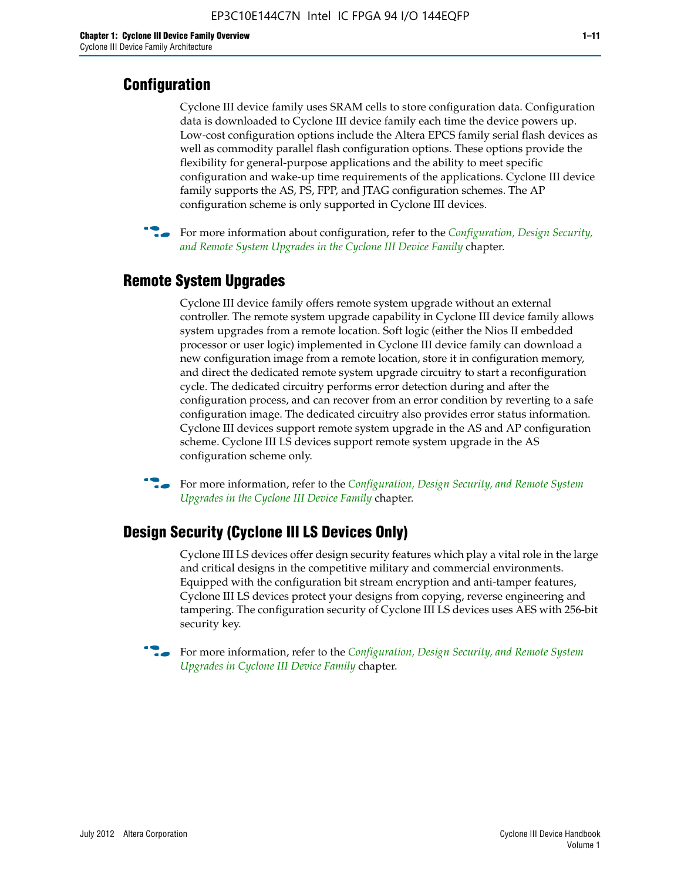#### **Configuration**

Cyclone III device family uses SRAM cells to store configuration data. Configuration data is downloaded to Cyclone III device family each time the device powers up. Low-cost configuration options include the Altera EPCS family serial flash devices as well as commodity parallel flash configuration options. These options provide the flexibility for general-purpose applications and the ability to meet specific configuration and wake-up time requirements of the applications. Cyclone III device family supports the AS, PS, FPP, and JTAG configuration schemes. The AP configuration scheme is only supported in Cyclone III devices.



f For more information about configuration, refer to the *[Configuration, Design Security,](http://www.altera.com/literature/hb/cyc3/cyc3_ciii51016.pdf)  [and Remote System Upgrades in the Cyclone III Device Family](http://www.altera.com/literature/hb/cyc3/cyc3_ciii51016.pdf)* chapter.

#### **Remote System Upgrades**

Cyclone III device family offers remote system upgrade without an external controller. The remote system upgrade capability in Cyclone III device family allows system upgrades from a remote location. Soft logic (either the Nios II embedded processor or user logic) implemented in Cyclone III device family can download a new configuration image from a remote location, store it in configuration memory, and direct the dedicated remote system upgrade circuitry to start a reconfiguration cycle. The dedicated circuitry performs error detection during and after the configuration process, and can recover from an error condition by reverting to a safe configuration image. The dedicated circuitry also provides error status information. Cyclone III devices support remote system upgrade in the AS and AP configuration scheme. Cyclone III LS devices support remote system upgrade in the AS configuration scheme only.

**For more information, refer to the** *Configuration, Design Security, and Remote System [Upgrades in the Cyclone III Device Family](http://www.altera.com/literature/hb/cyc3/cyc3_ciii51016.pdf)* chapter.

#### **Design Security (Cyclone III LS Devices Only)**

Cyclone III LS devices offer design security features which play a vital role in the large and critical designs in the competitive military and commercial environments. Equipped with the configuration bit stream encryption and anti-tamper features, Cyclone III LS devices protect your designs from copying, reverse engineering and tampering. The configuration security of Cyclone III LS devices uses AES with 256-bit security key.

f For more information, refer to the *[Configuration, Design Security, and Remote System](http://www.altera.com/literature/hb/cyc3/cyc3_ciii51016.pdf)  [Upgrades in Cyclone III Device Family](http://www.altera.com/literature/hb/cyc3/cyc3_ciii51016.pdf)* chapter.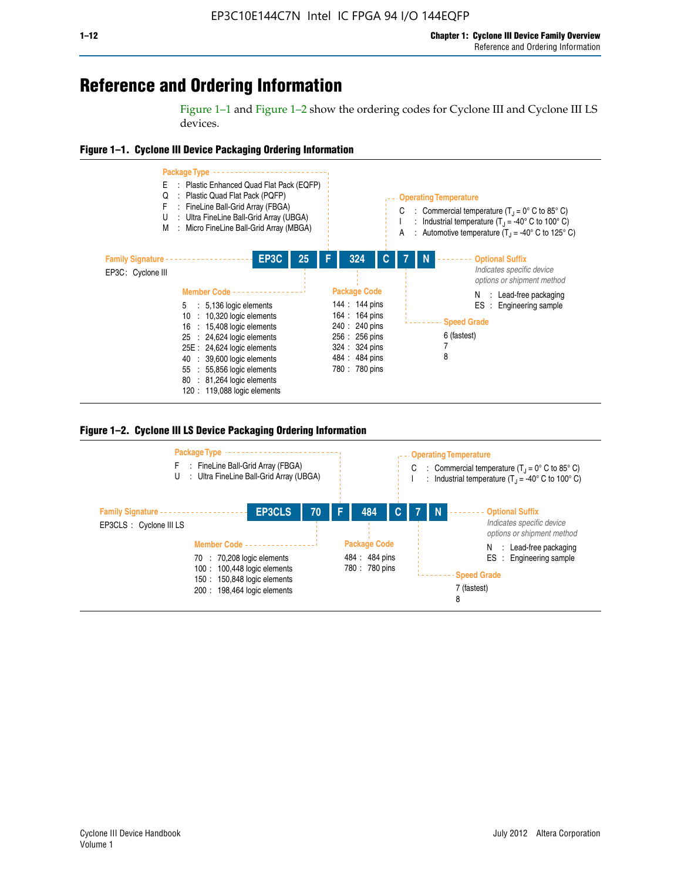## **Reference and Ordering Information**

Figure 1–1 and Figure 1–2 show the ordering codes for Cyclone III and Cyclone III LS devices.







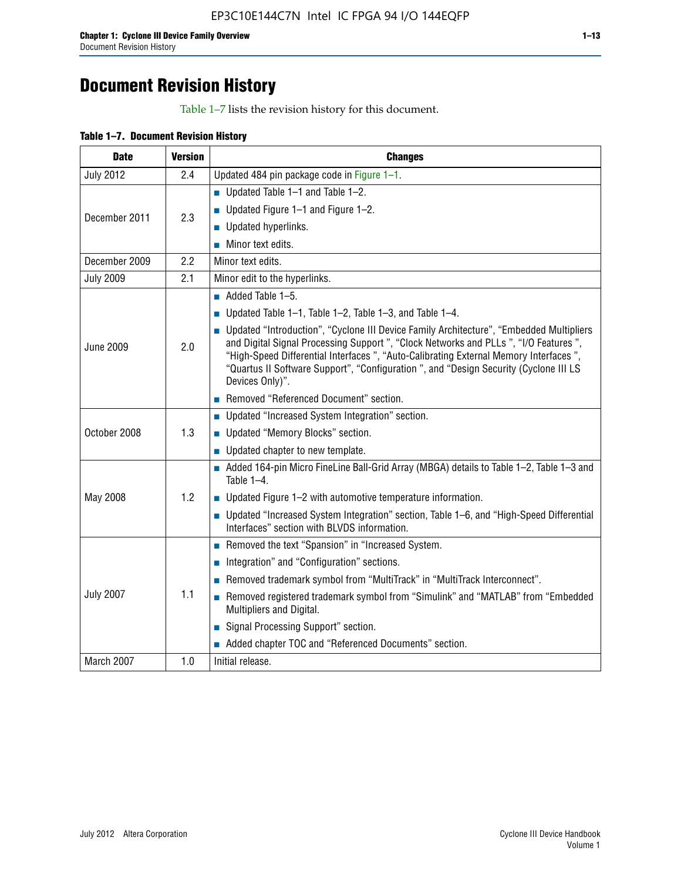# **Document Revision History**

Table 1–7 lists the revision history for this document.

| Table 1-7. Document Revision History |
|--------------------------------------|
|--------------------------------------|

| <b>Date</b>      | <b>Version</b> | <b>Changes</b>                                                                                                                                                                                                                                                                                                                                                                          |
|------------------|----------------|-----------------------------------------------------------------------------------------------------------------------------------------------------------------------------------------------------------------------------------------------------------------------------------------------------------------------------------------------------------------------------------------|
| <b>July 2012</b> | 2.4            | Updated 484 pin package code in Figure 1-1.                                                                                                                                                                                                                                                                                                                                             |
|                  |                | ■ Updated Table $1-1$ and Table $1-2$ .                                                                                                                                                                                                                                                                                                                                                 |
| December 2011    | 2.3            | ■ Updated Figure $1-1$ and Figure $1-2$ .                                                                                                                                                                                                                                                                                                                                               |
|                  |                | Updated hyperlinks.                                                                                                                                                                                                                                                                                                                                                                     |
|                  |                | Minor text edits.                                                                                                                                                                                                                                                                                                                                                                       |
| December 2009    | 2.2            | Minor text edits.                                                                                                                                                                                                                                                                                                                                                                       |
| <b>July 2009</b> | 2.1            | Minor edit to the hyperlinks.                                                                                                                                                                                                                                                                                                                                                           |
|                  |                | $\blacksquare$ Added Table 1-5.                                                                                                                                                                                                                                                                                                                                                         |
|                  |                | ■ Updated Table 1–1, Table 1–2, Table 1–3, and Table 1–4.                                                                                                                                                                                                                                                                                                                               |
| <b>June 2009</b> | 2.0            | • Updated "Introduction", "Cyclone III Device Family Architecture", "Embedded Multipliers<br>and Digital Signal Processing Support ", "Clock Networks and PLLs ", "I/O Features ",<br>"High-Speed Differential Interfaces ", "Auto-Calibrating External Memory Interfaces",<br>"Quartus II Software Support", "Configuration ", and "Design Security (Cyclone III LS<br>Devices Only)". |
|                  |                | Removed "Referenced Document" section.                                                                                                                                                                                                                                                                                                                                                  |
|                  |                | • Updated "Increased System Integration" section.                                                                                                                                                                                                                                                                                                                                       |
| October 2008     | 1.3            | Updated "Memory Blocks" section.                                                                                                                                                                                                                                                                                                                                                        |
|                  |                | • Updated chapter to new template.                                                                                                                                                                                                                                                                                                                                                      |
|                  |                | Added 164-pin Micro FineLine Ball-Grid Array (MBGA) details to Table 1-2, Table 1-3 and<br>Table $1-4$ .                                                                                                                                                                                                                                                                                |
| May 2008         | 1.2            | $\blacksquare$ Updated Figure 1-2 with automotive temperature information.                                                                                                                                                                                                                                                                                                              |
|                  |                | • Updated "Increased System Integration" section, Table 1-6, and "High-Speed Differential<br>Interfaces" section with BLVDS information.                                                                                                                                                                                                                                                |
|                  |                | Removed the text "Spansion" in "Increased System.                                                                                                                                                                                                                                                                                                                                       |
|                  |                | Integration" and "Configuration" sections.                                                                                                                                                                                                                                                                                                                                              |
|                  |                | Removed trademark symbol from "MultiTrack" in "MultiTrack Interconnect".                                                                                                                                                                                                                                                                                                                |
| <b>July 2007</b> | 1.1            | Removed registered trademark symbol from "Simulink" and "MATLAB" from "Embedded<br>Multipliers and Digital.                                                                                                                                                                                                                                                                             |
|                  |                | Signal Processing Support" section.                                                                                                                                                                                                                                                                                                                                                     |
|                  |                | Added chapter TOC and "Referenced Documents" section.                                                                                                                                                                                                                                                                                                                                   |
| March 2007       | 1.0            | Initial release.                                                                                                                                                                                                                                                                                                                                                                        |